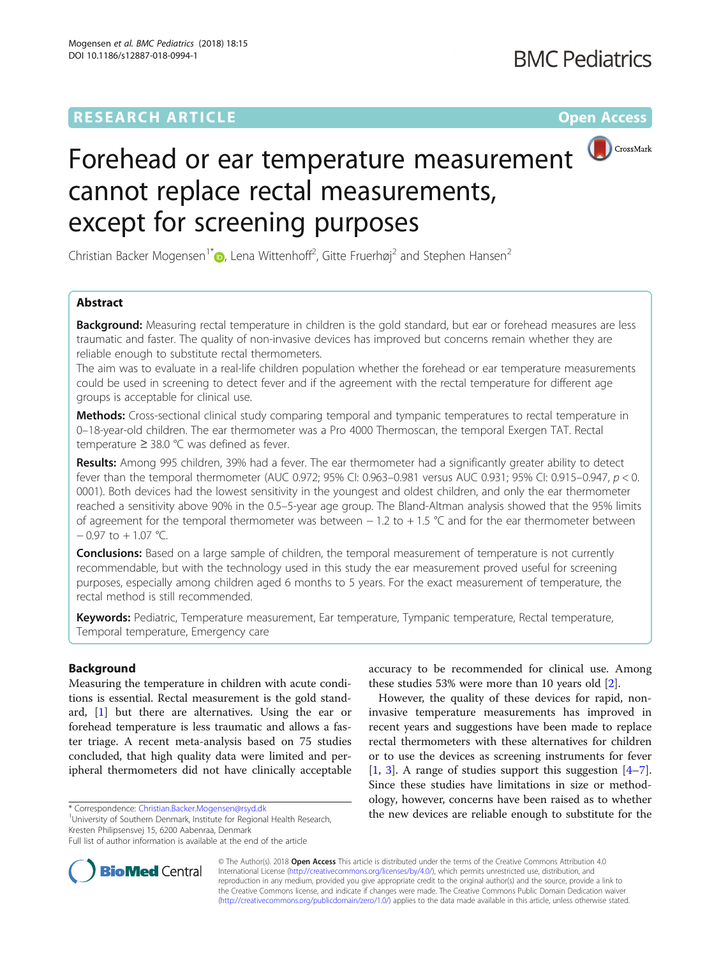## **RESEARCH ARTICLE Example 2014 12:30 The Community Community Community Community Community Community Community**



# Forehead or ear temperature measurement cannot replace rectal measurements, except for screening purposes

Christian Backer Mogensen<sup>1\*</sup> $\bm{\odot}$ [,](http://orcid.org/0000-0002-8254-089X) Lena Wittenhoff<sup>2</sup>, Gitte Fruerhøj<sup>2</sup> and Stephen Hansen<sup>2</sup>

## Abstract

**Background:** Measuring rectal temperature in children is the gold standard, but ear or forehead measures are less traumatic and faster. The quality of non-invasive devices has improved but concerns remain whether they are reliable enough to substitute rectal thermometers.

The aim was to evaluate in a real-life children population whether the forehead or ear temperature measurements could be used in screening to detect fever and if the agreement with the rectal temperature for different age groups is acceptable for clinical use.

Methods: Cross-sectional clinical study comparing temporal and tympanic temperatures to rectal temperature in 0–18-year-old children. The ear thermometer was a Pro 4000 Thermoscan, the temporal Exergen TAT. Rectal temperature ≥ 38.0 °C was defined as fever.

Results: Among 995 children, 39% had a fever. The ear thermometer had a significantly greater ability to detect fever than the temporal thermometer (AUC 0.972; 95% CI: 0.963–0.981 versus AUC 0.931; 95% CI: 0.915–0.947, p < 0. 0001). Both devices had the lowest sensitivity in the youngest and oldest children, and only the ear thermometer reached a sensitivity above 90% in the 0.5–5-year age group. The Bland-Altman analysis showed that the 95% limits of agreement for the temporal thermometer was between − 1.2 to + 1.5 °C and for the ear thermometer between − 0.97 to + 1.07 °C.

**Conclusions:** Based on a large sample of children, the temporal measurement of temperature is not currently recommendable, but with the technology used in this study the ear measurement proved useful for screening purposes, especially among children aged 6 months to 5 years. For the exact measurement of temperature, the rectal method is still recommended.

Keywords: Pediatric, Temperature measurement, Ear temperature, Tympanic temperature, Rectal temperature, Temporal temperature, Emergency care

## Background

Measuring the temperature in children with acute conditions is essential. Rectal measurement is the gold standard, [\[1](#page-5-0)] but there are alternatives. Using the ear or forehead temperature is less traumatic and allows a faster triage. A recent meta-analysis based on 75 studies concluded, that high quality data were limited and peripheral thermometers did not have clinically acceptable

<sup>1</sup>University of Southern Denmark, Institute for Regional Health Research, Kresten Philipsensvej 15, 6200 Aabenraa, Denmark



However, the quality of these devices for rapid, noninvasive temperature measurements has improved in recent years and suggestions have been made to replace rectal thermometers with these alternatives for children or to use the devices as screening instruments for fever  $[1, 3]$  $[1, 3]$  $[1, 3]$  $[1, 3]$ . A range of studies support this suggestion  $[4-7]$  $[4-7]$  $[4-7]$  $[4-7]$ . Since these studies have limitations in size or methodology, however, concerns have been raised as to whether \* Correspondence: [Christian.Backer.Mogensen@rsyd.dk](mailto:Christian.Backer.Mogensen@rsyd.dk) the new devices are reliable enough to substitute for the



© The Author(s). 2018 Open Access This article is distributed under the terms of the Creative Commons Attribution 4.0 International License [\(http://creativecommons.org/licenses/by/4.0/](http://creativecommons.org/licenses/by/4.0/)), which permits unrestricted use, distribution, and reproduction in any medium, provided you give appropriate credit to the original author(s) and the source, provide a link to the Creative Commons license, and indicate if changes were made. The Creative Commons Public Domain Dedication waiver [\(http://creativecommons.org/publicdomain/zero/1.0/](http://creativecommons.org/publicdomain/zero/1.0/)) applies to the data made available in this article, unless otherwise stated.

Full list of author information is available at the end of the article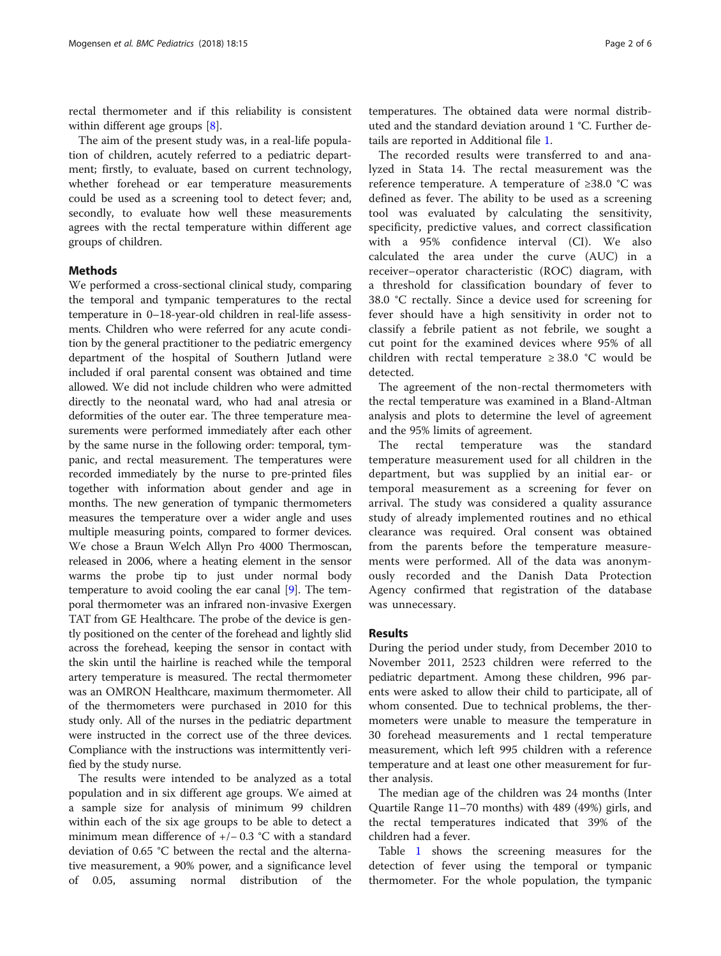rectal thermometer and if this reliability is consistent within different age groups [\[8](#page-5-0)].

The aim of the present study was, in a real-life population of children, acutely referred to a pediatric department; firstly, to evaluate, based on current technology, whether forehead or ear temperature measurements could be used as a screening tool to detect fever; and, secondly, to evaluate how well these measurements agrees with the rectal temperature within different age groups of children.

## Methods

We performed a cross-sectional clinical study, comparing the temporal and tympanic temperatures to the rectal temperature in 0–18-year-old children in real-life assessments. Children who were referred for any acute condition by the general practitioner to the pediatric emergency department of the hospital of Southern Jutland were included if oral parental consent was obtained and time allowed. We did not include children who were admitted directly to the neonatal ward, who had anal atresia or deformities of the outer ear. The three temperature measurements were performed immediately after each other by the same nurse in the following order: temporal, tympanic, and rectal measurement. The temperatures were recorded immediately by the nurse to pre-printed files together with information about gender and age in months. The new generation of tympanic thermometers measures the temperature over a wider angle and uses multiple measuring points, compared to former devices. We chose a Braun Welch Allyn Pro 4000 Thermoscan, released in 2006, where a heating element in the sensor warms the probe tip to just under normal body temperature to avoid cooling the ear canal [\[9](#page-5-0)]. The temporal thermometer was an infrared non-invasive Exergen TAT from GE Healthcare. The probe of the device is gently positioned on the center of the forehead and lightly slid across the forehead, keeping the sensor in contact with the skin until the hairline is reached while the temporal artery temperature is measured. The rectal thermometer was an OMRON Healthcare, maximum thermometer. All of the thermometers were purchased in 2010 for this study only. All of the nurses in the pediatric department were instructed in the correct use of the three devices. Compliance with the instructions was intermittently verified by the study nurse.

The results were intended to be analyzed as a total population and in six different age groups. We aimed at a sample size for analysis of minimum 99 children within each of the six age groups to be able to detect a minimum mean difference of +/− 0.3 °C with a standard deviation of 0.65 °C between the rectal and the alternative measurement, a 90% power, and a significance level of 0.05, assuming normal distribution of the temperatures. The obtained data were normal distributed and the standard deviation around 1 °C. Further details are reported in Additional file [1.](#page-5-0)

The recorded results were transferred to and analyzed in Stata 14. The rectal measurement was the reference temperature. A temperature of ≥38.0 °C was defined as fever. The ability to be used as a screening tool was evaluated by calculating the sensitivity, specificity, predictive values, and correct classification with a 95% confidence interval (CI). We also calculated the area under the curve (AUC) in a receiver–operator characteristic (ROC) diagram, with a threshold for classification boundary of fever to 38.0 °C rectally. Since a device used for screening for fever should have a high sensitivity in order not to classify a febrile patient as not febrile, we sought a cut point for the examined devices where 95% of all children with rectal temperature  $\geq 38.0$  °C would be detected.

The agreement of the non-rectal thermometers with the rectal temperature was examined in a Bland-Altman analysis and plots to determine the level of agreement and the 95% limits of agreement.

The rectal temperature was the standard temperature measurement used for all children in the department, but was supplied by an initial ear- or temporal measurement as a screening for fever on arrival. The study was considered a quality assurance study of already implemented routines and no ethical clearance was required. Oral consent was obtained from the parents before the temperature measurements were performed. All of the data was anonymously recorded and the Danish Data Protection Agency confirmed that registration of the database was unnecessary.

#### Results

During the period under study, from December 2010 to November 2011, 2523 children were referred to the pediatric department. Among these children, 996 parents were asked to allow their child to participate, all of whom consented. Due to technical problems, the thermometers were unable to measure the temperature in 30 forehead measurements and 1 rectal temperature measurement, which left 995 children with a reference temperature and at least one other measurement for further analysis.

The median age of the children was 24 months (Inter Quartile Range 11–70 months) with 489 (49%) girls, and the rectal temperatures indicated that 39% of the children had a fever.

Table [1](#page-2-0) shows the screening measures for the detection of fever using the temporal or tympanic thermometer. For the whole population, the tympanic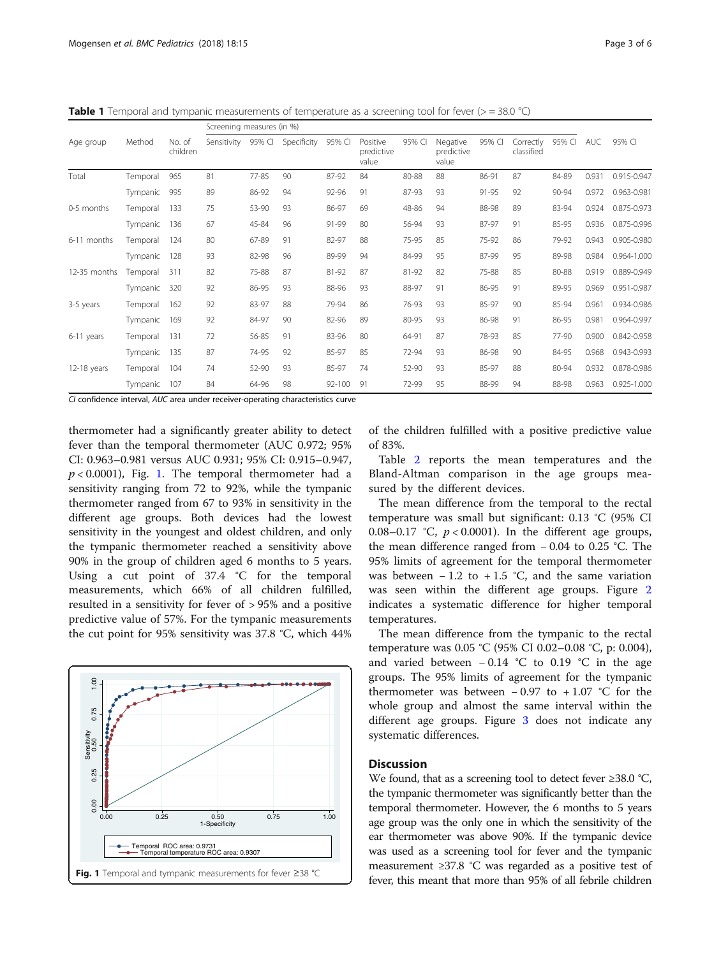<span id="page-2-0"></span>**Table 1** Temporal and tympanic measurements of temperature as a screening tool for fever ( $>$  = 38.0 °C)

|              | Method   | No. of<br>children | Screening measures (in %) |        |             |        |                                 |        |                                 |        |                         |        |            |             |
|--------------|----------|--------------------|---------------------------|--------|-------------|--------|---------------------------------|--------|---------------------------------|--------|-------------------------|--------|------------|-------------|
| Age group    |          |                    | Sensitivity               | 95% CI | Specificity | 95% CI | Positive<br>predictive<br>value | 95% CI | Negative<br>predictive<br>value | 95% CI | Correctly<br>classified | 95% CI | <b>AUC</b> | 95% CI      |
| Total        | Temporal | 965                | 81                        | 77-85  | 90          | 87-92  | 84                              | 80-88  | 88                              | 86-91  | 87                      | 84-89  | 0.931      | 0.915-0.947 |
|              | Tympanic | 995                | 89                        | 86-92  | 94          | 92-96  | 91                              | 87-93  | 93                              | 91-95  | 92                      | 90-94  | 0.972      | 0.963-0.981 |
| 0-5 months   | Temporal | 133                | 75                        | 53-90  | 93          | 86-97  | 69                              | 48-86  | 94                              | 88-98  | 89                      | 83-94  | 0.924      | 0.875-0.973 |
|              | Tympanic | 136                | 67                        | 45-84  | 96          | 91-99  | 80                              | 56-94  | 93                              | 87-97  | 91                      | 85-95  | 0.936      | 0.875-0.996 |
| 6-11 months  | Temporal | 124                | 80                        | 67-89  | 91          | 82-97  | 88                              | 75-95  | 85                              | 75-92  | 86                      | 79-92  | 0.943      | 0.905-0.980 |
|              | Tympanic | 128                | 93                        | 82-98  | 96          | 89-99  | 94                              | 84-99  | 95                              | 87-99  | 95                      | 89-98  | 0.984      | 0.964-1.000 |
| 12-35 months | Temporal | 311                | 82                        | 75-88  | 87          | 81-92  | 87                              | 81-92  | 82                              | 75-88  | 85                      | 80-88  | 0.919      | 0.889-0.949 |
|              | Tympanic | 320                | 92                        | 86-95  | 93          | 88-96  | 93                              | 88-97  | 91                              | 86-95  | 91                      | 89-95  | 0.969      | 0.951-0.987 |
| 3-5 years    | Temporal | 162                | 92                        | 83-97  | 88          | 79-94  | 86                              | 76-93  | 93                              | 85-97  | 90                      | 85-94  | 0.961      | 0.934-0.986 |
|              | Tympanic | 169                | 92                        | 84-97  | 90          | 82-96  | 89                              | 80-95  | 93                              | 86-98  | 91                      | 86-95  | 0.981      | 0.964-0.997 |
| 6-11 years   | Temporal | 131                | 72                        | 56-85  | 91          | 83-96  | 80                              | 64-91  | 87                              | 78-93  | 85                      | 77-90  | 0.900      | 0.842-0.958 |
|              | Tympanic | 135                | 87                        | 74-95  | 92          | 85-97  | 85                              | 72-94  | 93                              | 86-98  | 90                      | 84-95  | 0.968      | 0.943-0.993 |
| 12-18 years  | Temporal | 104                | 74                        | 52-90  | 93          | 85-97  | 74                              | 52-90  | 93                              | 85-97  | 88                      | 80-94  | 0.932      | 0.878-0.986 |
|              | Tympanic | 107                | 84                        | 64-96  | 98          | 92-100 | 91                              | 72-99  | 95                              | 88-99  | 94                      | 88-98  | 0.963      | 0.925-1.000 |

CI confidence interval, AUC area under receiver-operating characteristics curve

thermometer had a significantly greater ability to detect fever than the temporal thermometer (AUC 0.972; 95% CI: 0.963–0.981 versus AUC 0.931; 95% CI: 0.915–0.947,  $p < 0.0001$ ), Fig. 1. The temporal thermometer had a sensitivity ranging from 72 to 92%, while the tympanic thermometer ranged from 67 to 93% in sensitivity in the different age groups. Both devices had the lowest sensitivity in the youngest and oldest children, and only the tympanic thermometer reached a sensitivity above 90% in the group of children aged 6 months to 5 years. Using a cut point of 37.4 °C for the temporal measurements, which 66% of all children fulfilled, resulted in a sensitivity for fever of > 95% and a positive predictive value of 57%. For the tympanic measurements the cut point for 95% sensitivity was 37.8 °C, which 44%



of the children fulfilled with a positive predictive value of 83%.

Table [2](#page-3-0) reports the mean temperatures and the Bland-Altman comparison in the age groups measured by the different devices.

The mean difference from the temporal to the rectal temperature was small but significant: 0.13 °C (95% CI 0.08–0.17 °C,  $p < 0.0001$ ). In the different age groups, the mean difference ranged from − 0.04 to 0.25 °C. The 95% limits of agreement for the temporal thermometer was between  $-1.2$  to  $+1.5$  °C, and the same variation was seen within the different age groups. Figure [2](#page-3-0) indicates a systematic difference for higher temporal temperatures.

The mean difference from the tympanic to the rectal temperature was 0.05 °C (95% CI 0.02–0.08 °C, p: 0.004), and varied between − 0.14 °C to 0.19 °C in the age groups. The 95% limits of agreement for the tympanic thermometer was between  $-0.97$  to  $+1.07$  °C for the whole group and almost the same interval within the different age groups. Figure [3](#page-3-0) does not indicate any systematic differences.

## **Discussion**

We found, that as a screening tool to detect fever  $\geq 38.0$  °C, the tympanic thermometer was significantly better than the temporal thermometer. However, the 6 months to 5 years age group was the only one in which the sensitivity of the ear thermometer was above 90%. If the tympanic device was used as a screening tool for fever and the tympanic measurement ≥37.8 °C was regarded as a positive test of fever, this meant that more than 95% of all febrile children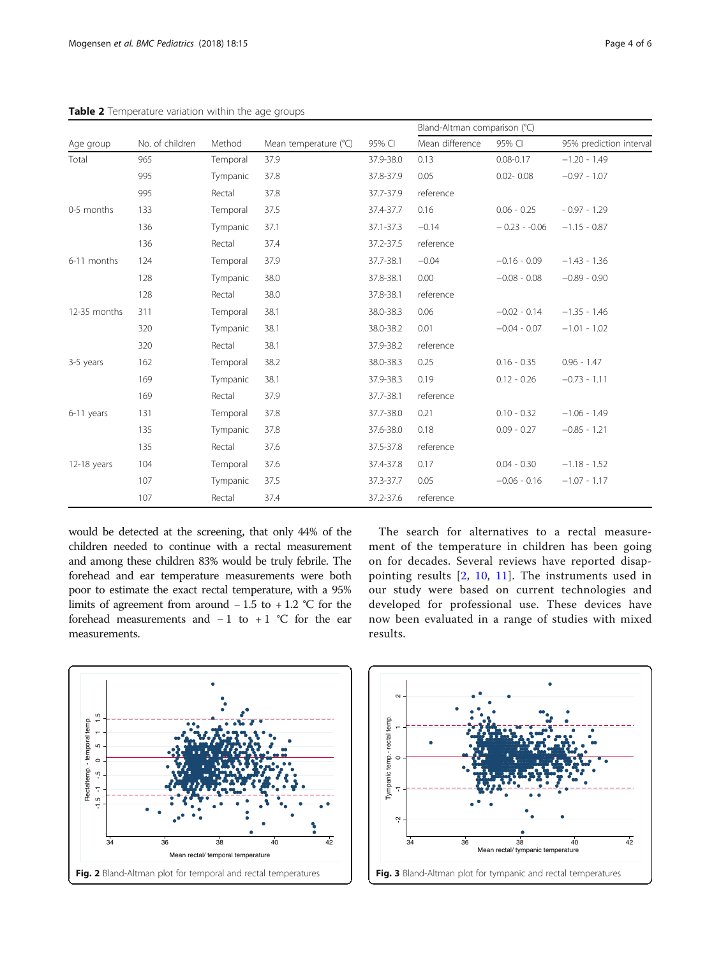|                                           |                 |          |                       |           | Bland-Altman comparison (°C) |                |                         |  |  |
|-------------------------------------------|-----------------|----------|-----------------------|-----------|------------------------------|----------------|-------------------------|--|--|
| Age group                                 | No. of children | Method   | Mean temperature (°C) | 95% CI    | Mean difference              | 95% CI         | 95% prediction interval |  |  |
| Total                                     | 965             | Temporal | 37.9                  | 37.9-38.0 | 0.13                         | $0.08 - 0.17$  | $-1.20 - 1.49$          |  |  |
|                                           | 995             | Tympanic | 37.8                  | 37.8-37.9 | 0.05                         | $0.02 - 0.08$  | $-0.97 - 1.07$          |  |  |
|                                           | 995             | Rectal   | 37.8                  | 37.7-37.9 | reference                    |                |                         |  |  |
| 0-5 months<br>6-11 months<br>12-35 months | 133             | Temporal | 37.5                  | 37.4-37.7 | 0.16                         | $0.06 - 0.25$  | $-0.97 - 1.29$          |  |  |
|                                           | 136             | Tympanic | 37.1                  | 37.1-37.3 | $-0.14$                      | $-0.23 - 0.06$ | $-1.15 - 0.87$          |  |  |
|                                           | 136             | Rectal   | 37.4                  | 37.2-37.5 | reference                    |                |                         |  |  |
|                                           | 124             | Temporal | 37.9                  | 37.7-38.1 | $-0.04$                      | $-0.16 - 0.09$ | $-1.43 - 1.36$          |  |  |
|                                           | 128             | Tympanic | 38.0                  | 37.8-38.1 | 0.00                         | $-0.08 - 0.08$ | $-0.89 - 0.90$          |  |  |
|                                           | 128             | Rectal   | 38.0                  | 37.8-38.1 | reference                    |                |                         |  |  |
|                                           | 311             | Temporal | 38.1                  | 38.0-38.3 | 0.06                         | $-0.02 - 0.14$ | $-1.35 - 1.46$          |  |  |
|                                           | 320             | Tympanic | 38.1                  | 38.0-38.2 | 0.01                         | $-0.04 - 0.07$ | $-1.01 - 1.02$          |  |  |
|                                           | 320             | Rectal   | 38.1                  | 37.9-38.2 | reference                    |                |                         |  |  |
| 3-5 years                                 | 162             | Temporal | 38.2                  | 38.0-38.3 | 0.25                         | $0.16 - 0.35$  | $0.96 - 1.47$           |  |  |
|                                           | 169             | Tympanic | 38.1                  | 37.9-38.3 | 0.19                         | $0.12 - 0.26$  | $-0.73 - 1.11$          |  |  |
|                                           | 169             | Rectal   | 37.9                  | 37.7-38.1 | reference                    |                |                         |  |  |
| 6-11 years                                | 131             | Temporal | 37.8                  | 37.7-38.0 | 0.21                         | $0.10 - 0.32$  | $-1.06 - 1.49$          |  |  |
|                                           | 135             | Tympanic | 37.8                  | 37.6-38.0 | 0.18                         | $0.09 - 0.27$  | $-0.85 - 1.21$          |  |  |
|                                           | 135             | Rectal   | 37.6                  | 37.5-37.8 | reference                    |                |                         |  |  |
| 12-18 years                               | 104             | Temporal | 37.6                  | 37.4-37.8 | 0.17                         | $0.04 - 0.30$  | $-1.18 - 1.52$          |  |  |
|                                           | 107             | Tympanic | 37.5                  | 37.3-37.7 | 0.05                         | $-0.06 - 0.16$ | $-1.07 - 1.17$          |  |  |
|                                           | 107             | Rectal   | 37.4                  | 37.2-37.6 | reference                    |                |                         |  |  |

<span id="page-3-0"></span>Table 2 Temperature variation within the age groups

would be detected at the screening, that only 44% of the children needed to continue with a rectal measurement and among these children 83% would be truly febrile. The forehead and ear temperature measurements were both poor to estimate the exact rectal temperature, with a 95% limits of agreement from around − 1.5 to + 1.2 °C for the forehead measurements and  $-1$  to  $+1$  °C for the ear measurements.

The search for alternatives to a rectal measurement of the temperature in children has been going on for decades. Several reviews have reported disappointing results [[2,](#page-5-0) [10,](#page-5-0) [11\]](#page-5-0). The instruments used in our study were based on current technologies and developed for professional use. These devices have now been evaluated in a range of studies with mixed results.



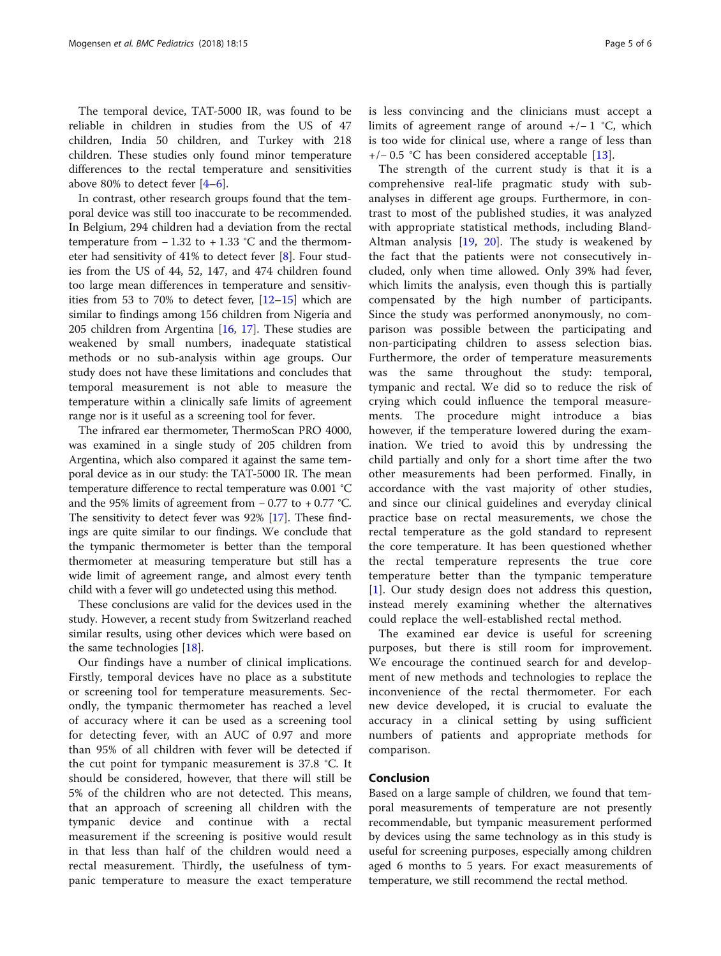The temporal device, TAT-5000 IR, was found to be reliable in children in studies from the US of 47 children, India 50 children, and Turkey with 218 children. These studies only found minor temperature differences to the rectal temperature and sensitivities above 80% to detect fever  $[4-6]$  $[4-6]$  $[4-6]$  $[4-6]$ .

In contrast, other research groups found that the temporal device was still too inaccurate to be recommended. In Belgium, 294 children had a deviation from the rectal temperature from  $-1.32$  to  $+1.33$  °C and the thermometer had sensitivity of 41% to detect fever [[8\]](#page-5-0). Four studies from the US of 44, 52, 147, and 474 children found too large mean differences in temperature and sensitivities from 53 to 70% to detect fever,  $[12-15]$  $[12-15]$  $[12-15]$  which are similar to findings among 156 children from Nigeria and 205 children from Argentina [[16](#page-5-0), [17](#page-5-0)]. These studies are weakened by small numbers, inadequate statistical methods or no sub-analysis within age groups. Our study does not have these limitations and concludes that temporal measurement is not able to measure the temperature within a clinically safe limits of agreement range nor is it useful as a screening tool for fever.

The infrared ear thermometer, ThermoScan PRO 4000, was examined in a single study of 205 children from Argentina, which also compared it against the same temporal device as in our study: the TAT-5000 IR. The mean temperature difference to rectal temperature was 0.001 °C and the 95% limits of agreement from − 0.77 to + 0.77 °C. The sensitivity to detect fever was 92% [\[17\]](#page-5-0). These findings are quite similar to our findings. We conclude that the tympanic thermometer is better than the temporal thermometer at measuring temperature but still has a wide limit of agreement range, and almost every tenth child with a fever will go undetected using this method.

These conclusions are valid for the devices used in the study. However, a recent study from Switzerland reached similar results, using other devices which were based on the same technologies [\[18](#page-5-0)].

Our findings have a number of clinical implications. Firstly, temporal devices have no place as a substitute or screening tool for temperature measurements. Secondly, the tympanic thermometer has reached a level of accuracy where it can be used as a screening tool for detecting fever, with an AUC of 0.97 and more than 95% of all children with fever will be detected if the cut point for tympanic measurement is 37.8 °C. It should be considered, however, that there will still be 5% of the children who are not detected. This means, that an approach of screening all children with the tympanic device and continue with a rectal measurement if the screening is positive would result in that less than half of the children would need a rectal measurement. Thirdly, the usefulness of tympanic temperature to measure the exact temperature is less convincing and the clinicians must accept a limits of agreement range of around +/− 1 °C, which is too wide for clinical use, where a range of less than +/− 0.5 °C has been considered acceptable [[13\]](#page-5-0).

The strength of the current study is that it is a comprehensive real-life pragmatic study with subanalyses in different age groups. Furthermore, in contrast to most of the published studies, it was analyzed with appropriate statistical methods, including Bland-Altman analysis [\[19](#page-5-0), [20\]](#page-5-0). The study is weakened by the fact that the patients were not consecutively included, only when time allowed. Only 39% had fever, which limits the analysis, even though this is partially compensated by the high number of participants. Since the study was performed anonymously, no comparison was possible between the participating and non-participating children to assess selection bias. Furthermore, the order of temperature measurements was the same throughout the study: temporal, tympanic and rectal. We did so to reduce the risk of crying which could influence the temporal measurements. The procedure might introduce a bias however, if the temperature lowered during the examination. We tried to avoid this by undressing the child partially and only for a short time after the two other measurements had been performed. Finally, in accordance with the vast majority of other studies, and since our clinical guidelines and everyday clinical practice base on rectal measurements, we chose the rectal temperature as the gold standard to represent the core temperature. It has been questioned whether the rectal temperature represents the true core temperature better than the tympanic temperature [[1\]](#page-5-0). Our study design does not address this question, instead merely examining whether the alternatives could replace the well-established rectal method.

The examined ear device is useful for screening purposes, but there is still room for improvement. We encourage the continued search for and development of new methods and technologies to replace the inconvenience of the rectal thermometer. For each new device developed, it is crucial to evaluate the accuracy in a clinical setting by using sufficient numbers of patients and appropriate methods for comparison.

## Conclusion

Based on a large sample of children, we found that temporal measurements of temperature are not presently recommendable, but tympanic measurement performed by devices using the same technology as in this study is useful for screening purposes, especially among children aged 6 months to 5 years. For exact measurements of temperature, we still recommend the rectal method.